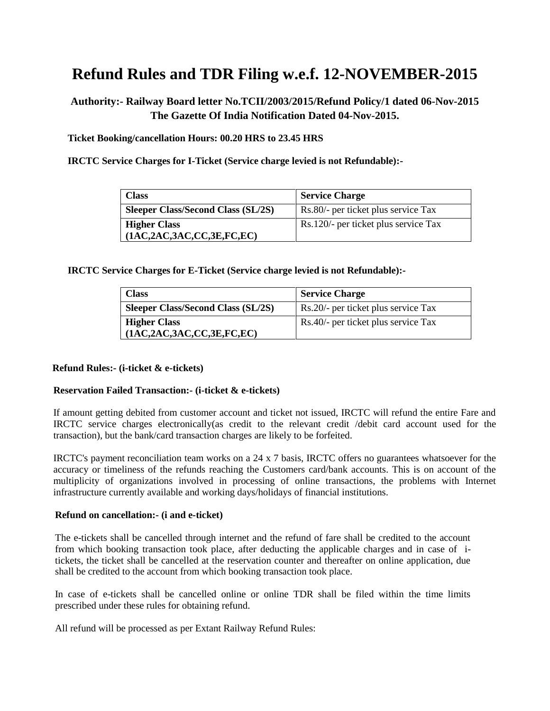# **Refund Rules and TDR Filing w.e.f. 12-NOVEMBER-2015**

# **Authority:- Railway Board letter No.TCII/2003/2015/Refund Policy/1 dated 06-Nov-2015 The Gazette Of India Notification Dated 04-Nov-2015.**

**Ticket Booking/cancellation Hours: 00.20 HRS to 23.45 HRS**

**IRCTC Service Charges for I-Ticket (Service charge levied is not Refundable):-**

| <b>Class</b>                              | <b>Service Charge</b>                |
|-------------------------------------------|--------------------------------------|
| <b>Sleeper Class/Second Class (SL/2S)</b> | Rs.80/- per ticket plus service Tax  |
| <b>Higher Class</b>                       | Rs.120/- per ticket plus service Tax |
| (1AC,2AC,3AC,CC,3E,FC,EC)                 |                                      |

**IRCTC Service Charges for E-Ticket (Service charge levied is not Refundable):-**

| <b>Class</b>                              | <b>Service Charge</b>               |
|-------------------------------------------|-------------------------------------|
| <b>Sleeper Class/Second Class (SL/2S)</b> | Rs.20/- per ticket plus service Tax |
| <b>Higher Class</b>                       | Rs.40/- per ticket plus service Tax |
| (1AC,2AC,3AC,CC,3E,FC,EC)                 |                                     |

#### **Refund Rules:- (i-ticket & e-tickets)**

#### **Reservation Failed Transaction:- (i-ticket & e-tickets)**

If amount getting debited from customer account and ticket not issued, IRCTC will refund the entire Fare and IRCTC service charges electronically(as credit to the relevant credit /debit card account used for the transaction), but the bank/card transaction charges are likely to be forfeited.

IRCTC's payment reconciliation team works on a 24 x 7 basis, IRCTC offers no guarantees whatsoever for the accuracy or timeliness of the refunds reaching the Customers card/bank accounts. This is on account of the multiplicity of organizations involved in processing of online transactions, the problems with Internet infrastructure currently available and working days/holidays of financial institutions.

#### **Refund on cancellation:- (i and e-ticket)**

The e-tickets shall be cancelled through internet and the refund of fare shall be credited to the account from which booking transaction took place, after deducting the applicable charges and in case of itickets, the ticket shall be cancelled at the reservation counter and thereafter on online application, due shall be credited to the account from which booking transaction took place.

In case of e-tickets shall be cancelled online or online TDR shall be filed within the time limits prescribed under these rules for obtaining refund.

All refund will be processed as per Extant Railway Refund Rules: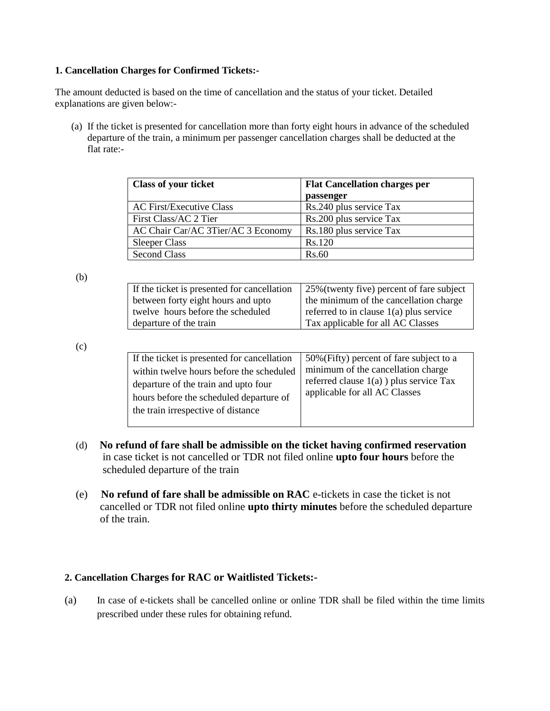#### **1. Cancellation Charges for Confirmed Tickets:-**

The amount deducted is based on the time of cancellation and the status of your ticket. Detailed explanations are given below:-

(a) If the ticket is presented for cancellation more than forty eight hours in advance of the scheduled departure of the train, a minimum per passenger cancellation charges shall be deducted at the flat rate:-

| <b>Class of your ticket</b>        | <b>Flat Cancellation charges per</b> |  |  |
|------------------------------------|--------------------------------------|--|--|
|                                    | passenger                            |  |  |
| <b>AC First/Executive Class</b>    | Rs.240 plus service Tax              |  |  |
| First Class/AC 2 Tier              | Rs.200 plus service Tax              |  |  |
| AC Chair Car/AC 3Tier/AC 3 Economy | Rs.180 plus service Tax              |  |  |
| <b>Sleeper Class</b>               | Rs.120                               |  |  |
| <b>Second Class</b>                | Rs.60                                |  |  |

(b)

| If the ticket is presented for cancellation | 25% (twenty five) percent of fare subject |  |
|---------------------------------------------|-------------------------------------------|--|
| between forty eight hours and upto          | the minimum of the cancellation charge    |  |
| twelve hours before the scheduled           | referred to in clause $1(a)$ plus service |  |
| departure of the train                      | Tax applicable for all AC Classes         |  |

(c)

| If the ticket is presented for cancellation<br>within twelve hours before the scheduled<br>departure of the train and upto four<br>hours before the scheduled departure of<br>the train irrespective of distance | 50% (Fifty) percent of fare subject to a<br>minimum of the cancellation charge<br>referred clause $1(a)$ ) plus service Tax<br>applicable for all AC Classes |
|------------------------------------------------------------------------------------------------------------------------------------------------------------------------------------------------------------------|--------------------------------------------------------------------------------------------------------------------------------------------------------------|
|------------------------------------------------------------------------------------------------------------------------------------------------------------------------------------------------------------------|--------------------------------------------------------------------------------------------------------------------------------------------------------------|

- (d) **No refund of fare shall be admissible on the ticket having confirmed reservation** in case ticket is not cancelled or TDR not filed online **upto four hours** before the scheduled departure of the train
- (e) **No refund of fare shall be admissible on RAC** e-tickets in case the ticket is not cancelled or TDR not filed online **upto thirty minutes** before the scheduled departure of the train.

## **2. Cancellation Charges for RAC or Waitlisted Tickets:-**

(a) In case of e-tickets shall be cancelled online or online TDR shall be filed within the time limits prescribed under these rules for obtaining refund.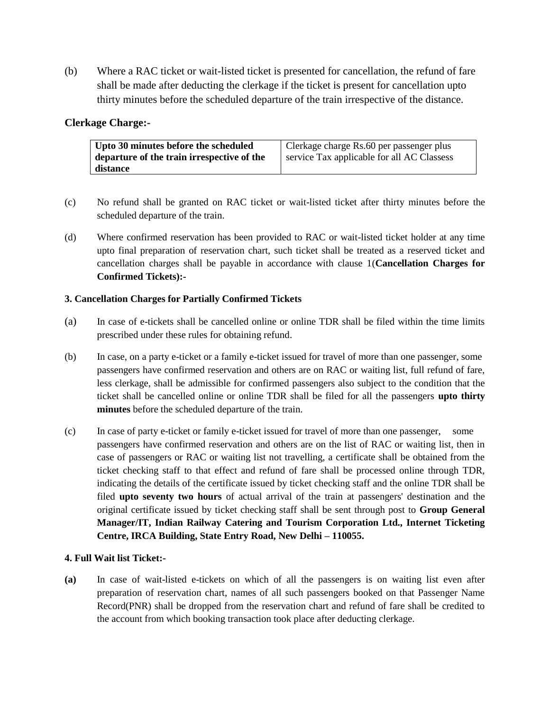(b) Where a RAC ticket or wait-listed ticket is presented for cancellation, the refund of fare shall be made after deducting the clerkage if the ticket is present for cancellation upto thirty minutes before the scheduled departure of the train irrespective of the distance.

## **Clerkage Charge:-**

| Upto 30 minutes before the scheduled       | Clerkage charge Rs.60 per passenger plus   |
|--------------------------------------------|--------------------------------------------|
| departure of the train irrespective of the | service Tax applicable for all AC Classess |
| distance                                   |                                            |

- (c) No refund shall be granted on RAC ticket or wait-listed ticket after thirty minutes before the scheduled departure of the train.
- (d) Where confirmed reservation has been provided to RAC or wait-listed ticket holder at any time upto final preparation of reservation chart, such ticket shall be treated as a reserved ticket and cancellation charges shall be payable in accordance with clause 1(**Cancellation Charges for Confirmed Tickets):-**

## **3. Cancellation Charges for Partially Confirmed Tickets**

- (a) In case of e-tickets shall be cancelled online or online TDR shall be filed within the time limits prescribed under these rules for obtaining refund.
- (b) In case, on a party e-ticket or a family e-ticket issued for travel of more than one passenger, some passengers have confirmed reservation and others are on RAC or waiting list, full refund of fare, less clerkage, shall be admissible for confirmed passengers also subject to the condition that the ticket shall be cancelled online or online TDR shall be filed for all the passengers **upto thirty minutes** before the scheduled departure of the train.
- (c) In case of party e-ticket or family e-ticket issued for travel of more than one passenger, some passengers have confirmed reservation and others are on the list of RAC or waiting list, then in case of passengers or RAC or waiting list not travelling, a certificate shall be obtained from the ticket checking staff to that effect and refund of fare shall be processed online through TDR, indicating the details of the certificate issued by ticket checking staff and the online TDR shall be filed **upto seventy two hours** of actual arrival of the train at passengers' destination and the original certificate issued by ticket checking staff shall be sent through post to **Group General Manager/IT, Indian Railway Catering and Tourism Corporation Ltd., Internet Ticketing Centre, IRCA Building, State Entry Road, New Delhi – 110055.**

## **4. Full Wait list Ticket:-**

**(a)** In case of wait-listed e-tickets on which of all the passengers is on waiting list even after preparation of reservation chart, names of all such passengers booked on that Passenger Name Record(PNR) shall be dropped from the reservation chart and refund of fare shall be credited to the account from which booking transaction took place after deducting clerkage.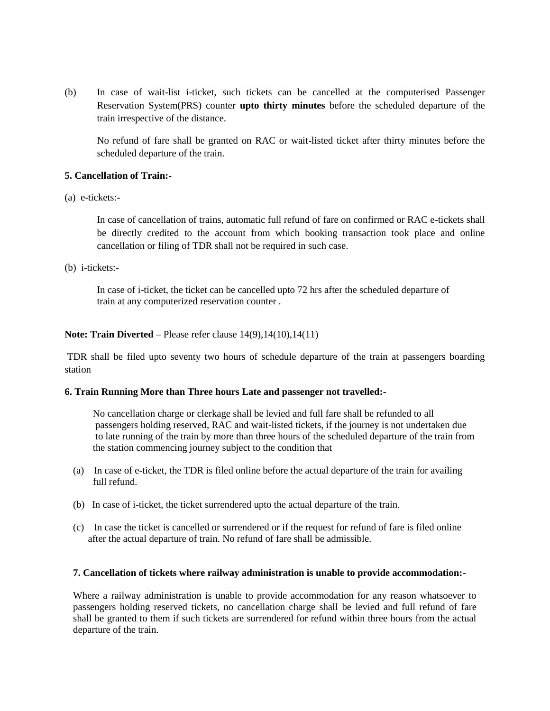(b) In case of wait-list i-ticket, such tickets can be cancelled at the computerised Passenger Reservation System(PRS) counter **upto thirty minutes** before the scheduled departure of the train irrespective of the distance.

No refund of fare shall be granted on RAC or wait-listed ticket after thirty minutes before the scheduled departure of the train.

#### **5. Cancellation of Train:-**

(a) e-tickets:-

In case of cancellation of trains, automatic full refund of fare on confirmed or RAC e-tickets shall be directly credited to the account from which booking transaction took place and online cancellation or filing of TDR shall not be required in such case.

(b) i-tickets:-

In case of i-ticket, the ticket can be cancelled upto 72 hrs after the scheduled departure of train at any computerized reservation counter .

#### **Note: Train Diverted** – Please refer clause  $14(9)$ ,  $14(10)$ ,  $14(11)$

TDR shall be filed upto seventy two hours of schedule departure of the train at passengers boarding station

#### **6. Train Running More than Three hours Late and passenger not travelled:-**

 No cancellation charge or clerkage shall be levied and full fare shall be refunded to all passengers holding reserved, RAC and wait-listed tickets, if the journey is not undertaken due to late running of the train by more than three hours of the scheduled departure of the train from the station commencing journey subject to the condition that

- (a) In case of e-ticket, the TDR is filed online before the actual departure of the train for availing full refund.
- (b) In case of i-ticket, the ticket surrendered upto the actual departure of the train.
- (c) In case the ticket is cancelled or surrendered or if the request for refund of fare is filed online after the actual departure of train. No refund of fare shall be admissible.

#### **7. Cancellation of tickets where railway administration is unable to provide accommodation:-**

Where a railway administration is unable to provide accommodation for any reason whatsoever to passengers holding reserved tickets, no cancellation charge shall be levied and full refund of fare shall be granted to them if such tickets are surrendered for refund within three hours from the actual departure of the train.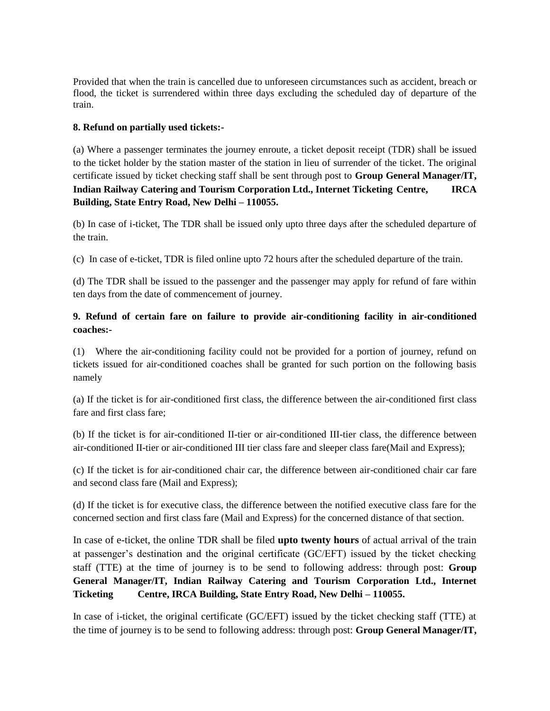Provided that when the train is cancelled due to unforeseen circumstances such as accident, breach or flood, the ticket is surrendered within three days excluding the scheduled day of departure of the train.

#### **8. Refund on partially used tickets:-**

(a) Where a passenger terminates the journey enroute, a ticket deposit receipt (TDR) shall be issued to the ticket holder by the station master of the station in lieu of surrender of the ticket. The original certificate issued by ticket checking staff shall be sent through post to **Group General Manager/IT, Indian Railway Catering and Tourism Corporation Ltd., Internet Ticketing Centre, IRCA Building, State Entry Road, New Delhi – 110055.**

(b) In case of i-ticket, The TDR shall be issued only upto three days after the scheduled departure of the train.

(c) In case of e-ticket, TDR is filed online upto 72 hours after the scheduled departure of the train.

(d) The TDR shall be issued to the passenger and the passenger may apply for refund of fare within ten days from the date of commencement of journey.

## **9. Refund of certain fare on failure to provide air-conditioning facility in air-conditioned coaches:-**

(1) Where the air-conditioning facility could not be provided for a portion of journey, refund on tickets issued for air-conditioned coaches shall be granted for such portion on the following basis namely

(a) If the ticket is for air-conditioned first class, the difference between the air-conditioned first class fare and first class fare;

(b) If the ticket is for air-conditioned II-tier or air-conditioned III-tier class, the difference between air-conditioned II-tier or air-conditioned III tier class fare and sleeper class fare(Mail and Express);

(c) If the ticket is for air-conditioned chair car, the difference between air-conditioned chair car fare and second class fare (Mail and Express);

(d) If the ticket is for executive class, the difference between the notified executive class fare for the concerned section and first class fare (Mail and Express) for the concerned distance of that section.

In case of e-ticket, the online TDR shall be filed **upto twenty hours** of actual arrival of the train at passenger's destination and the original certificate (GC/EFT) issued by the ticket checking staff (TTE) at the time of journey is to be send to following address: through post: **Group General Manager/IT, Indian Railway Catering and Tourism Corporation Ltd., Internet Ticketing Centre, IRCA Building, State Entry Road, New Delhi – 110055.**

In case of i-ticket, the original certificate (GC/EFT) issued by the ticket checking staff (TTE) at the time of journey is to be send to following address: through post: **Group General Manager/IT,**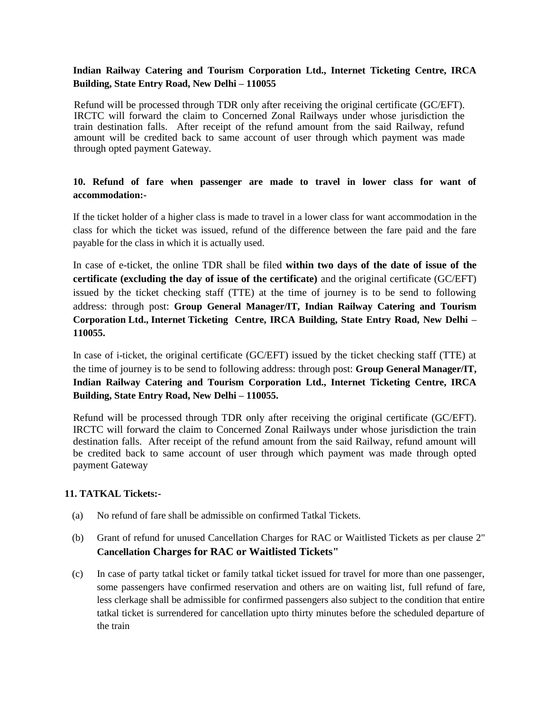### **Indian Railway Catering and Tourism Corporation Ltd., Internet Ticketing Centre, IRCA Building, State Entry Road, New Delhi – 110055**

Refund will be processed through TDR only after receiving the original certificate (GC/EFT). IRCTC will forward the claim to Concerned Zonal Railways under whose jurisdiction the train destination falls. After receipt of the refund amount from the said Railway, refund amount will be credited back to same account of user through which payment was made through opted payment Gateway.

## **10. Refund of fare when passenger are made to travel in lower class for want of accommodation:-**

If the ticket holder of a higher class is made to travel in a lower class for want accommodation in the class for which the ticket was issued, refund of the difference between the fare paid and the fare payable for the class in which it is actually used.

In case of e-ticket, the online TDR shall be filed **within two days of the date of issue of the certificate (excluding the day of issue of the certificate)** and the original certificate (GC/EFT) issued by the ticket checking staff (TTE) at the time of journey is to be send to following address: through post: **Group General Manager/IT, Indian Railway Catering and Tourism Corporation Ltd., Internet Ticketing Centre, IRCA Building, State Entry Road, New Delhi – 110055.**

In case of i-ticket, the original certificate (GC/EFT) issued by the ticket checking staff (TTE) at the time of journey is to be send to following address: through post: **Group General Manager/IT, Indian Railway Catering and Tourism Corporation Ltd., Internet Ticketing Centre, IRCA Building, State Entry Road, New Delhi – 110055.**

Refund will be processed through TDR only after receiving the original certificate (GC/EFT). IRCTC will forward the claim to Concerned Zonal Railways under whose jurisdiction the train destination falls. After receipt of the refund amount from the said Railway, refund amount will be credited back to same account of user through which payment was made through opted payment Gateway

#### **11. TATKAL Tickets:-**

- (a) No refund of fare shall be admissible on confirmed Tatkal Tickets.
- (b) Grant of refund for unused Cancellation Charges for RAC or Waitlisted Tickets as per clause 2" **Cancellation Charges for RAC or Waitlisted Tickets"**
- (c) In case of party tatkal ticket or family tatkal ticket issued for travel for more than one passenger, some passengers have confirmed reservation and others are on waiting list, full refund of fare, less clerkage shall be admissible for confirmed passengers also subject to the condition that entire tatkal ticket is surrendered for cancellation upto thirty minutes before the scheduled departure of the train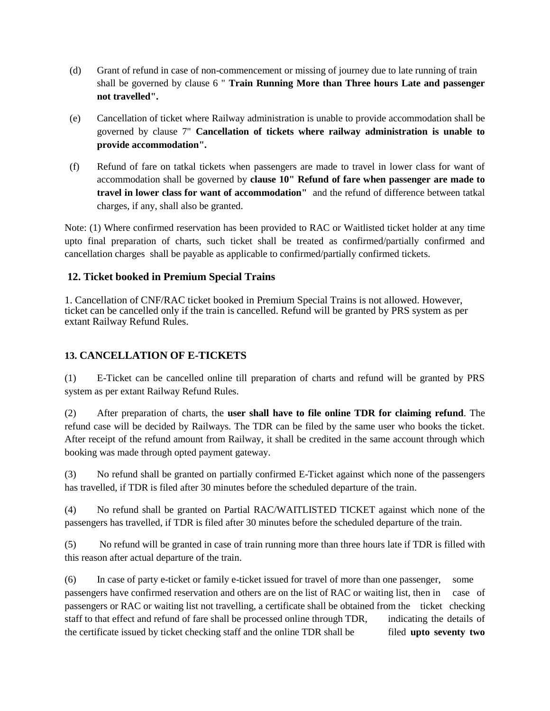- (d) Grant of refund in case of non-commencement or missing of journey due to late running of train shall be governed by clause 6 " **Train Running More than Three hours Late and passenger not travelled".**
- (e) Cancellation of ticket where Railway administration is unable to provide accommodation shall be governed by clause 7" **Cancellation of tickets where railway administration is unable to provide accommodation".**
- (f) Refund of fare on tatkal tickets when passengers are made to travel in lower class for want of accommodation shall be governed by **clause 10" Refund of fare when passenger are made to travel in lower class for want of accommodation"** and the refund of difference between tatkal charges, if any, shall also be granted.

Note: (1) Where confirmed reservation has been provided to RAC or Waitlisted ticket holder at any time upto final preparation of charts, such ticket shall be treated as confirmed/partially confirmed and cancellation charges shall be payable as applicable to confirmed/partially confirmed tickets.

# **12. Ticket booked in Premium Special Trains**

1. Cancellation of CNF/RAC ticket booked in Premium Special Trains is not allowed. However, ticket can be cancelled only if the train is cancelled. Refund will be granted by PRS system as per extant Railway Refund Rules.

# **13. CANCELLATION OF E-TICKETS**

(1) E-Ticket can be cancelled online till preparation of charts and refund will be granted by PRS system as per extant Railway Refund Rules.

(2) After preparation of charts, the **user shall have to file online TDR for claiming refund**. The refund case will be decided by Railways. The TDR can be filed by the same user who books the ticket. After receipt of the refund amount from Railway, it shall be credited in the same account through which booking was made through opted payment gateway.

(3) No refund shall be granted on partially confirmed E-Ticket against which none of the passengers has travelled, if TDR is filed after 30 minutes before the scheduled departure of the train.

(4) No refund shall be granted on Partial RAC/WAITLISTED TICKET against which none of the passengers has travelled, if TDR is filed after 30 minutes before the scheduled departure of the train.

(5) No refund will be granted in case of train running more than three hours late if TDR is filled with this reason after actual departure of the train.

(6) In case of party e-ticket or family e-ticket issued for travel of more than one passenger, some passengers have confirmed reservation and others are on the list of RAC or waiting list, then in case of passengers or RAC or waiting list not travelling, a certificate shall be obtained from the ticket checking staff to that effect and refund of fare shall be processed online through TDR, indicating the details of the certificate issued by ticket checking staff and the online TDR shall be filed **upto seventy two**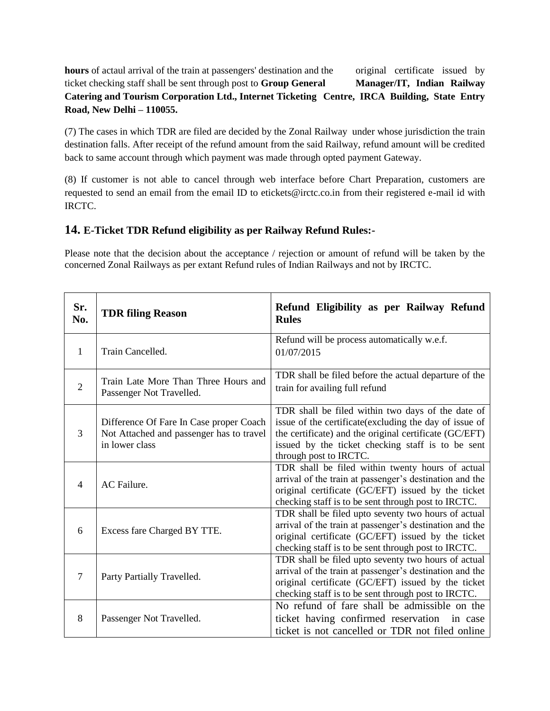**hours** of actaul arrival of the train at passengers' destination and the original certificate issued by ticket checking staff shall be sent through post to **Group General Manager/IT, Indian Railway Catering and Tourism Corporation Ltd., Internet Ticketing Centre, IRCA Building, State Entry Road, New Delhi – 110055.**

(7) The cases in which TDR are filed are decided by the Zonal Railway under whose jurisdiction the train destination falls. After receipt of the refund amount from the said Railway, refund amount will be credited back to same account through which payment was made through opted payment Gateway.

(8) If customer is not able to cancel through web interface before Chart Preparation, customers are requested to send an email from the email ID to etickets@irctc.co.in from their registered e-mail id with IRCTC.

# **14. E-Ticket TDR Refund eligibility as per Railway Refund Rules:-**

Please note that the decision about the acceptance / rejection or amount of refund will be taken by the concerned Zonal Railways as per extant Refund rules of Indian Railways and not by IRCTC.

| Sr.<br>No.     | <b>TDR filing Reason</b>                                                                              | Refund Eligibility as per Railway Refund<br><b>Rules</b>                                                                                                                                                                                              |  |  |  |
|----------------|-------------------------------------------------------------------------------------------------------|-------------------------------------------------------------------------------------------------------------------------------------------------------------------------------------------------------------------------------------------------------|--|--|--|
| 1              | Train Cancelled.                                                                                      | Refund will be process automatically w.e.f.<br>01/07/2015                                                                                                                                                                                             |  |  |  |
| $\overline{2}$ | Train Late More Than Three Hours and<br>Passenger Not Travelled.                                      | TDR shall be filed before the actual departure of the<br>train for availing full refund                                                                                                                                                               |  |  |  |
| 3              | Difference Of Fare In Case proper Coach<br>Not Attached and passenger has to travel<br>in lower class | TDR shall be filed within two days of the date of<br>issue of the certificate (excluding the day of issue of<br>the certificate) and the original certificate (GC/EFT)<br>issued by the ticket checking staff is to be sent<br>through post to IRCTC. |  |  |  |
| $\overline{4}$ | AC Failure.                                                                                           | TDR shall be filed within twenty hours of actual<br>arrival of the train at passenger's destination and the<br>original certificate (GC/EFT) issued by the ticket<br>checking staff is to be sent through post to IRCTC.                              |  |  |  |
| 6              | Excess fare Charged BY TTE.                                                                           | TDR shall be filed upto seventy two hours of actual<br>arrival of the train at passenger's destination and the<br>original certificate (GC/EFT) issued by the ticket<br>checking staff is to be sent through post to IRCTC.                           |  |  |  |
| 7              | Party Partially Travelled.                                                                            | TDR shall be filed upto seventy two hours of actual<br>arrival of the train at passenger's destination and the<br>original certificate (GC/EFT) issued by the ticket<br>checking staff is to be sent through post to IRCTC.                           |  |  |  |
| 8              | Passenger Not Travelled.                                                                              | No refund of fare shall be admissible on the<br>ticket having confirmed reservation in case<br>ticket is not cancelled or TDR not filed online                                                                                                        |  |  |  |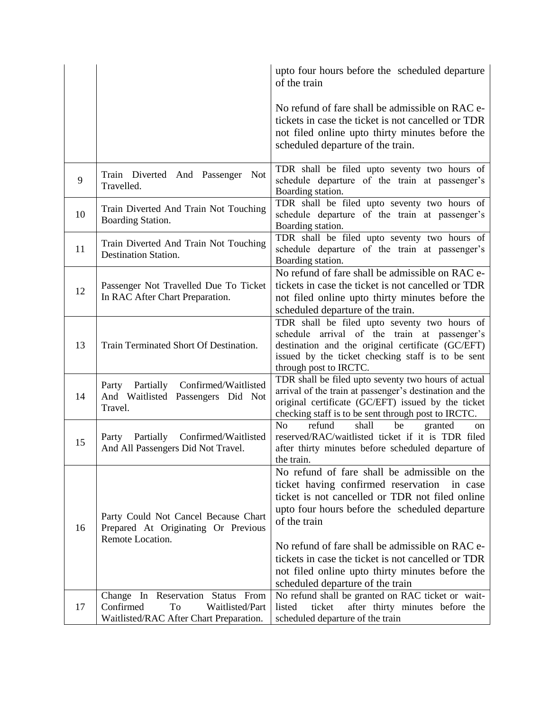|    |                                                                                                                    | upto four hours before the scheduled departure<br>of the train                                                                                                                                                                                                                                                                                                                                                   |  |  |
|----|--------------------------------------------------------------------------------------------------------------------|------------------------------------------------------------------------------------------------------------------------------------------------------------------------------------------------------------------------------------------------------------------------------------------------------------------------------------------------------------------------------------------------------------------|--|--|
|    |                                                                                                                    | No refund of fare shall be admissible on RAC e-<br>tickets in case the ticket is not cancelled or TDR<br>not filed online upto thirty minutes before the<br>scheduled departure of the train.                                                                                                                                                                                                                    |  |  |
| 9  | Train Diverted And Passenger Not<br>Travelled.                                                                     | TDR shall be filed upto seventy two hours of<br>schedule departure of the train at passenger's<br>Boarding station.                                                                                                                                                                                                                                                                                              |  |  |
| 10 | Train Diverted And Train Not Touching<br>Boarding Station.                                                         | TDR shall be filed upto seventy two hours of<br>schedule departure of the train at passenger's<br>Boarding station.                                                                                                                                                                                                                                                                                              |  |  |
| 11 | Train Diverted And Train Not Touching<br><b>Destination Station.</b>                                               | TDR shall be filed upto seventy two hours of<br>schedule departure of the train at passenger's<br>Boarding station.                                                                                                                                                                                                                                                                                              |  |  |
| 12 | Passenger Not Travelled Due To Ticket<br>In RAC After Chart Preparation.                                           | No refund of fare shall be admissible on RAC e-<br>tickets in case the ticket is not cancelled or TDR<br>not filed online upto thirty minutes before the<br>scheduled departure of the train.                                                                                                                                                                                                                    |  |  |
| 13 | Train Terminated Short Of Destination.                                                                             | TDR shall be filed upto seventy two hours of<br>schedule arrival of the train at passenger's<br>destination and the original certificate (GC/EFT)<br>issued by the ticket checking staff is to be sent<br>through post to IRCTC.                                                                                                                                                                                 |  |  |
| 14 | Confirmed/Waitlisted<br>Party<br>Partially<br>And Waitlisted Passengers Did Not<br>Travel.                         | TDR shall be filed upto seventy two hours of actual<br>arrival of the train at passenger's destination and the<br>original certificate (GC/EFT) issued by the ticket<br>checking staff is to be sent through post to IRCTC.                                                                                                                                                                                      |  |  |
| 15 | Party Partially Confirmed/Waitlisted<br>And All Passengers Did Not Travel.                                         | No<br>refund<br>shall<br>be<br>granted<br>on<br>reserved/RAC/waitlisted ticket if it is TDR filed<br>after thirty minutes before scheduled departure of<br>the train.                                                                                                                                                                                                                                            |  |  |
| 16 | Party Could Not Cancel Because Chart<br>Prepared At Originating Or Previous<br>Remote Location.                    | No refund of fare shall be admissible on the<br>ticket having confirmed reservation in case<br>ticket is not cancelled or TDR not filed online<br>upto four hours before the scheduled departure<br>of the train<br>No refund of fare shall be admissible on RAC e-<br>tickets in case the ticket is not cancelled or TDR<br>not filed online upto thirty minutes before the<br>scheduled departure of the train |  |  |
| 17 | Change In Reservation Status From<br>Confirmed<br>To<br>Waitlisted/Part<br>Waitlisted/RAC After Chart Preparation. | No refund shall be granted on RAC ticket or wait-<br>listed<br>after thirty minutes before the<br>ticket<br>scheduled departure of the train                                                                                                                                                                                                                                                                     |  |  |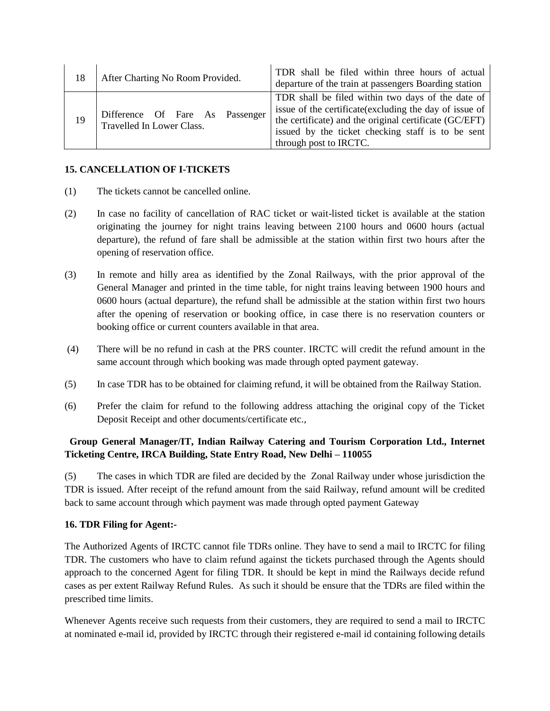| 18 | After Charting No Room Provided.                             | TDR shall be filed within three hours of actual<br>departure of the train at passengers Boarding station                                                                                                                                              |
|----|--------------------------------------------------------------|-------------------------------------------------------------------------------------------------------------------------------------------------------------------------------------------------------------------------------------------------------|
| 19 | Difference Of Fare As Passenger<br>Travelled In Lower Class. | TDR shall be filed within two days of the date of<br>issue of the certificate (excluding the day of issue of<br>the certificate) and the original certificate (GC/EFT)<br>issued by the ticket checking staff is to be sent<br>through post to IRCTC. |

## **15. CANCELLATION OF I-TICKETS**

- (1) The tickets cannot be cancelled online.
- (2) In case no facility of cancellation of RAC ticket or wait-listed ticket is available at the station originating the journey for night trains leaving between 2100 hours and 0600 hours (actual departure), the refund of fare shall be admissible at the station within first two hours after the opening of reservation office.
- (3) In remote and hilly area as identified by the Zonal Railways, with the prior approval of the General Manager and printed in the time table, for night trains leaving between 1900 hours and 0600 hours (actual departure), the refund shall be admissible at the station within first two hours after the opening of reservation or booking office, in case there is no reservation counters or booking office or current counters available in that area.
- (4) There will be no refund in cash at the PRS counter. IRCTC will credit the refund amount in the same account through which booking was made through opted payment gateway.
- (5) In case TDR has to be obtained for claiming refund, it will be obtained from the Railway Station.
- (6) Prefer the claim for refund to the following address attaching the original copy of the Ticket Deposit Receipt and other documents/certificate etc.,

## **Group General Manager/IT, Indian Railway Catering and Tourism Corporation Ltd., Internet Ticketing Centre, IRCA Building, State Entry Road, New Delhi – 110055**

(5) The cases in which TDR are filed are decided by the Zonal Railway under whose jurisdiction the TDR is issued. After receipt of the refund amount from the said Railway, refund amount will be credited back to same account through which payment was made through opted payment Gateway

## **16. TDR Filing for Agent:-**

The Authorized Agents of IRCTC cannot file TDRs online. They have to send a mail to IRCTC for filing TDR. The customers who have to claim refund against the tickets purchased through the Agents should approach to the concerned Agent for filing TDR. It should be kept in mind the Railways decide refund cases as per extent Railway Refund Rules. As such it should be ensure that the TDRs are filed within the prescribed time limits.

Whenever Agents receive such requests from their customers, they are required to send a mail to IRCTC at nominated e-mail id, provided by IRCTC through their registered e-mail id containing following details